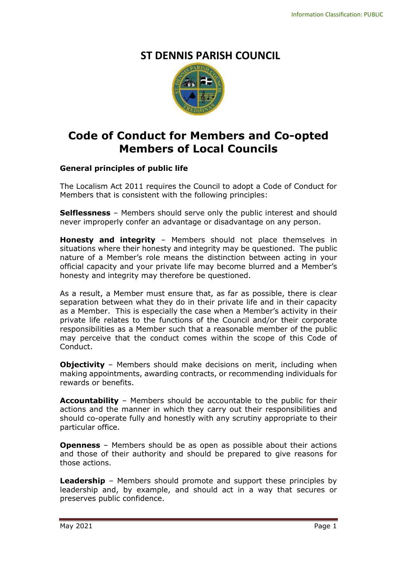# **ST DENNIS PARISH COUNCIL**



# **Code of Conduct for Members and Co-opted Members of Local Councils**

## **General principles of public life**

The Localism Act 2011 requires the Council to adopt a Code of Conduct for Members that is consistent with the following principles:

**Selflessness** – Members should serve only the public interest and should never improperly confer an advantage or disadvantage on any person.

**Honesty and integrity** – Members should not place themselves in situations where their honesty and integrity may be questioned. The public nature of a Member's role means the distinction between acting in your official capacity and your private life may become blurred and a Member's honesty and integrity may therefore be questioned.

As a result, a Member must ensure that, as far as possible, there is clear separation between what they do in their private life and in their capacity as a Member. This is especially the case when a Member's activity in their private life relates to the functions of the Council and/or their corporate responsibilities as a Member such that a reasonable member of the public may perceive that the conduct comes within the scope of this Code of Conduct.

**Objectivity** – Members should make decisions on merit, including when making appointments, awarding contracts, or recommending individuals for rewards or benefits.

**Accountability** – Members should be accountable to the public for their actions and the manner in which they carry out their responsibilities and should co-operate fully and honestly with any scrutiny appropriate to their particular office.

**Openness** – Members should be as open as possible about their actions and those of their authority and should be prepared to give reasons for those actions.

**Leadership** – Members should promote and support these principles by leadership and, by example, and should act in a way that secures or preserves public confidence.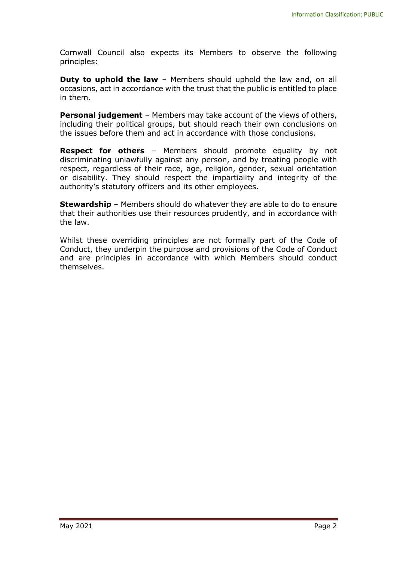Cornwall Council also expects its Members to observe the following principles:

**Duty to uphold the law** – Members should uphold the law and, on all occasions, act in accordance with the trust that the public is entitled to place in them.

**Personal judgement** – Members may take account of the views of others, including their political groups, but should reach their own conclusions on the issues before them and act in accordance with those conclusions.

**Respect for others** – Members should promote equality by not discriminating unlawfully against any person, and by treating people with respect, regardless of their race, age, religion, gender, sexual orientation or disability. They should respect the impartiality and integrity of the authority's statutory officers and its other employees.

**Stewardship** – Members should do whatever they are able to do to ensure that their authorities use their resources prudently, and in accordance with the law.

Whilst these overriding principles are not formally part of the Code of Conduct, they underpin the purpose and provisions of the Code of Conduct and are principles in accordance with which Members should conduct themselves.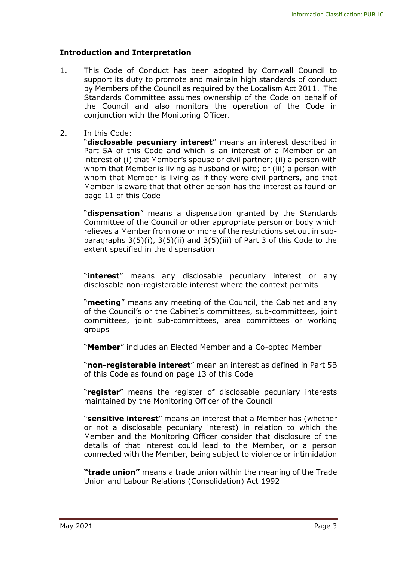### **Introduction and Interpretation**

- 1. This Code of Conduct has been adopted by Cornwall Council to support its duty to promote and maintain high standards of conduct by Members of the Council as required by the Localism Act 2011. The Standards Committee assumes ownership of the Code on behalf of the Council and also monitors the operation of the Code in conjunction with the Monitoring Officer.
- 2. In this Code:

"**disclosable pecuniary interest**" means an interest described in Part 5A of this Code and which is an interest of a Member or an interest of (i) that Member's spouse or civil partner; (ii) a person with whom that Member is living as husband or wife; or (iii) a person with whom that Member is living as if they were civil partners, and that Member is aware that that other person has the interest as found on page 11 of this Code

"**dispensation**" means a dispensation granted by the Standards Committee of the Council or other appropriate person or body which relieves a Member from one or more of the restrictions set out in subparagraphs 3(5)(i), 3(5)(ii) and 3(5)(iii) of Part 3 of this Code to the extent specified in the dispensation

"**interest**" means any disclosable pecuniary interest or any disclosable non-registerable interest where the context permits

"**meeting**" means any meeting of the Council, the Cabinet and any of the Council's or the Cabinet's committees, sub-committees, joint committees, joint sub-committees, area committees or working groups

"**Member**" includes an Elected Member and a Co-opted Member

"**non-registerable interest**" mean an interest as defined in Part 5B of this Code as found on page 13 of this Code

"**register**" means the register of disclosable pecuniary interests maintained by the Monitoring Officer of the Council

"**sensitive interest**" means an interest that a Member has (whether or not a disclosable pecuniary interest) in relation to which the Member and the Monitoring Officer consider that disclosure of the details of that interest could lead to the Member, or a person connected with the Member, being subject to violence or intimidation

**"trade union"** means a trade union within the meaning of the Trade Union and Labour Relations (Consolidation) Act 1992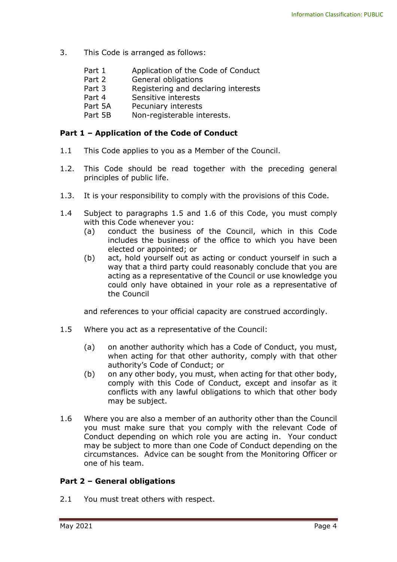- 3. This Code is arranged as follows:
	- Part 1 Application of the Code of Conduct
	- Part 2 General obligations
	- Part 3 Registering and declaring interests
	- Part 4 Sensitive interests
	- Part 5A Pecuniary interests
	- Part 5B Non-registerable interests.

### **Part 1 – Application of the Code of Conduct**

- 1.1 This Code applies to you as a Member of the Council.
- 1.2. This Code should be read together with the preceding general principles of public life.
- 1.3. It is your responsibility to comply with the provisions of this Code.
- 1.4 Subject to paragraphs 1.5 and 1.6 of this Code, you must comply with this Code whenever you:
	- (a) conduct the business of the Council, which in this Code includes the business of the office to which you have been elected or appointed; or
	- (b) act, hold yourself out as acting or conduct yourself in such a way that a third party could reasonably conclude that you are acting as a representative of the Council or use knowledge you could only have obtained in your role as a representative of the Council

and references to your official capacity are construed accordingly.

- 1.5 Where you act as a representative of the Council:
	- (a) on another authority which has a Code of Conduct, you must, when acting for that other authority, comply with that other authority's Code of Conduct; or
	- (b) on any other body, you must, when acting for that other body, comply with this Code of Conduct, except and insofar as it conflicts with any lawful obligations to which that other body may be subject.
- 1.6 Where you are also a member of an authority other than the Council you must make sure that you comply with the relevant Code of Conduct depending on which role you are acting in. Your conduct may be subject to more than one Code of Conduct depending on the circumstances. Advice can be sought from the Monitoring Officer or one of his team.

#### **Part 2 – General obligations**

2.1 You must treat others with respect.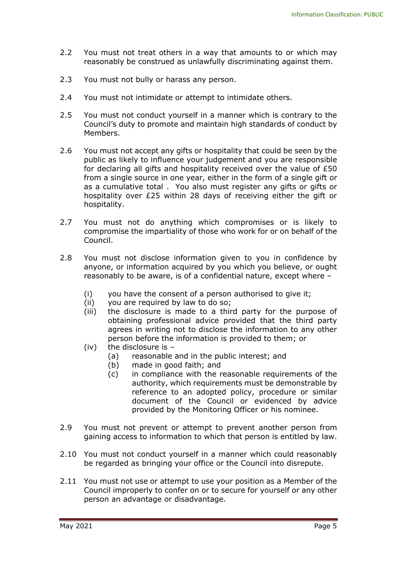- 2.2 You must not treat others in a way that amounts to or which may reasonably be construed as unlawfully discriminating against them.
- 2.3 You must not bully or harass any person.
- 2.4 You must not intimidate or attempt to intimidate others.
- 2.5 You must not conduct yourself in a manner which is contrary to the Council's duty to promote and maintain high standards of conduct by Members.
- 2.6 You must not accept any gifts or hospitality that could be seen by the public as likely to influence your judgement and you are responsible for declaring all gifts and hospitality received over the value of £50 from a single source in one year, either in the form of a single gift or as a cumulative total . You also must register any gifts or gifts or hospitality over £25 within 28 days of receiving either the gift or hospitality.
- 2.7 You must not do anything which compromises or is likely to compromise the impartiality of those who work for or on behalf of the Council.
- 2.8 You must not disclose information given to you in confidence by anyone, or information acquired by you which you believe, or ought reasonably to be aware, is of a confidential nature, except where –
	- (i) you have the consent of a person authorised to give it;
	- (ii) you are required by law to do so;
	- (iii) the disclosure is made to a third party for the purpose of obtaining professional advice provided that the third party agrees in writing not to disclose the information to any other person before the information is provided to them; or
	- (iv) the disclosure is
		- (a) reasonable and in the public interest; and
		- (b) made in good faith; and
		- (c) in compliance with the reasonable requirements of the authority, which requirements must be demonstrable by reference to an adopted policy, procedure or similar document of the Council or evidenced by advice provided by the Monitoring Officer or his nominee.
- 2.9 You must not prevent or attempt to prevent another person from gaining access to information to which that person is entitled by law.
- 2.10 You must not conduct yourself in a manner which could reasonably be regarded as bringing your office or the Council into disrepute.
- 2.11 You must not use or attempt to use your position as a Member of the Council improperly to confer on or to secure for yourself or any other person an advantage or disadvantage.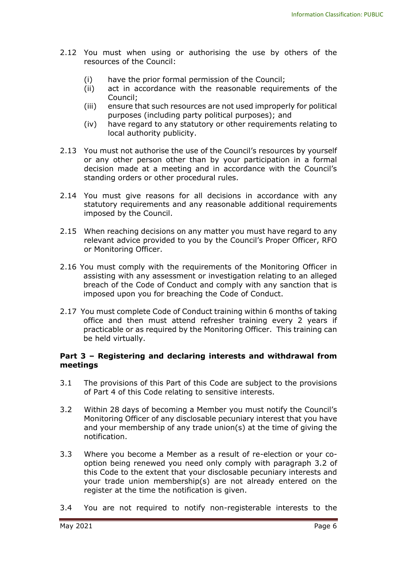- 2.12 You must when using or authorising the use by others of the resources of the Council:
	- (i) have the prior formal permission of the Council;
	- (ii) act in accordance with the reasonable requirements of the Council;
	- (iii) ensure that such resources are not used improperly for political purposes (including party political purposes); and
	- (iv) have regard to any statutory or other requirements relating to local authority publicity.
- 2.13 You must not authorise the use of the Council's resources by yourself or any other person other than by your participation in a formal decision made at a meeting and in accordance with the Council's standing orders or other procedural rules.
- 2.14 You must give reasons for all decisions in accordance with any statutory requirements and any reasonable additional requirements imposed by the Council.
- 2.15 When reaching decisions on any matter you must have regard to any relevant advice provided to you by the Council's Proper Officer, RFO or Monitoring Officer.
- 2.16 You must comply with the requirements of the Monitoring Officer in assisting with any assessment or investigation relating to an alleged breach of the Code of Conduct and comply with any sanction that is imposed upon you for breaching the Code of Conduct.
- 2.17 You must complete Code of Conduct training within 6 months of taking office and then must attend refresher training every 2 years if practicable or as required by the Monitoring Officer. This training can be held virtually.

#### **Part 3 – Registering and declaring interests and withdrawal from meetings**

- 3.1 The provisions of this Part of this Code are subject to the provisions of Part 4 of this Code relating to sensitive interests.
- 3.2 Within 28 days of becoming a Member you must notify the Council's Monitoring Officer of any disclosable pecuniary interest that you have and your membership of any trade union(s) at the time of giving the notification.
- 3.3 Where you become a Member as a result of re-election or your cooption being renewed you need only comply with paragraph 3.2 of this Code to the extent that your disclosable pecuniary interests and your trade union membership(s) are not already entered on the register at the time the notification is given.
- 3.4 You are not required to notify non-registerable interests to the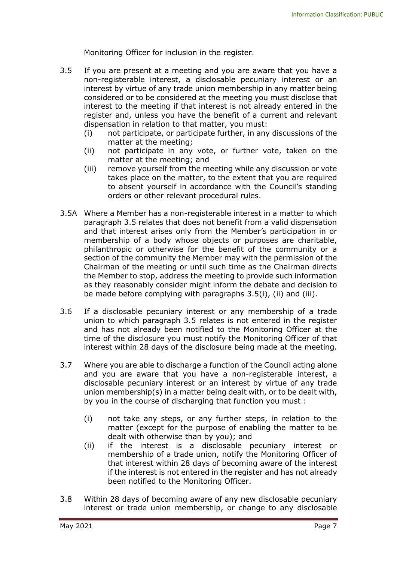Monitoring Officer for inclusion in the register.

- 3.5 If you are present at a meeting and you are aware that you have a non-registerable interest, a disclosable pecuniary interest or an interest by virtue of any trade union membership in any matter being considered or to be considered at the meeting you must disclose that interest to the meeting if that interest is not already entered in the register and, unless you have the benefit of a current and relevant dispensation in relation to that matter, you must:
	- (i) not participate, or participate further, in any discussions of the matter at the meeting;
	- (ii) not participate in any vote, or further vote, taken on the matter at the meeting; and
	- (iii) remove yourself from the meeting while any discussion or vote takes place on the matter, to the extent that you are required to absent yourself in accordance with the Council's standing orders or other relevant procedural rules.
- 3.5A Where a Member has a non-registerable interest in a matter to which paragraph 3.5 relates that does not benefit from a valid dispensation and that interest arises only from the Member's participation in or membership of a body whose objects or purposes are charitable, philanthropic or otherwise for the benefit of the community or a section of the community the Member may with the permission of the Chairman of the meeting or until such time as the Chairman directs the Member to stop, address the meeting to provide such information as they reasonably consider might inform the debate and decision to be made before complying with paragraphs 3.5(i), (ii) and (iii).
- 3.6 If a disclosable pecuniary interest or any membership of a trade union to which paragraph 3.5 relates is not entered in the register and has not already been notified to the Monitoring Officer at the time of the disclosure you must notify the Monitoring Officer of that interest within 28 days of the disclosure being made at the meeting.
- 3.7 Where you are able to discharge a function of the Council acting alone and you are aware that you have a non-registerable interest, a disclosable pecuniary interest or an interest by virtue of any trade union membership(s) in a matter being dealt with, or to be dealt with, by you in the course of discharging that function you must :
	- (i) not take any steps, or any further steps, in relation to the matter (except for the purpose of enabling the matter to be dealt with otherwise than by you); and
	- (ii) if the interest is a disclosable pecuniary interest or membership of a trade union, notify the Monitoring Officer of that interest within 28 days of becoming aware of the interest if the interest is not entered in the register and has not already been notified to the Monitoring Officer.
- 3.8 Within 28 days of becoming aware of any new disclosable pecuniary interest or trade union membership, or change to any disclosable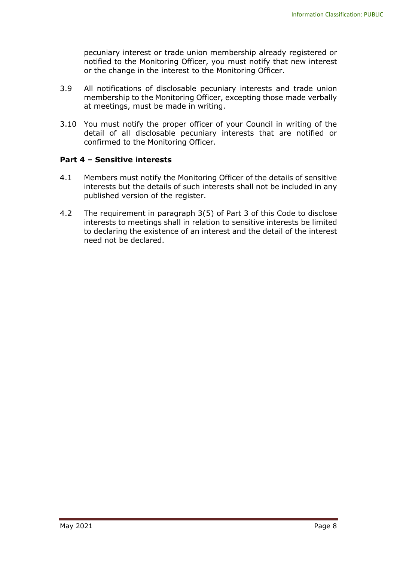pecuniary interest or trade union membership already registered or notified to the Monitoring Officer, you must notify that new interest or the change in the interest to the Monitoring Officer.

- 3.9 All notifications of disclosable pecuniary interests and trade union membership to the Monitoring Officer, excepting those made verbally at meetings, must be made in writing.
- 3.10 You must notify the proper officer of your Council in writing of the detail of all disclosable pecuniary interests that are notified or confirmed to the Monitoring Officer.

### **Part 4 – Sensitive interests**

- 4.1 Members must notify the Monitoring Officer of the details of sensitive interests but the details of such interests shall not be included in any published version of the register.
- 4.2 The requirement in paragraph 3(5) of Part 3 of this Code to disclose interests to meetings shall in relation to sensitive interests be limited to declaring the existence of an interest and the detail of the interest need not be declared.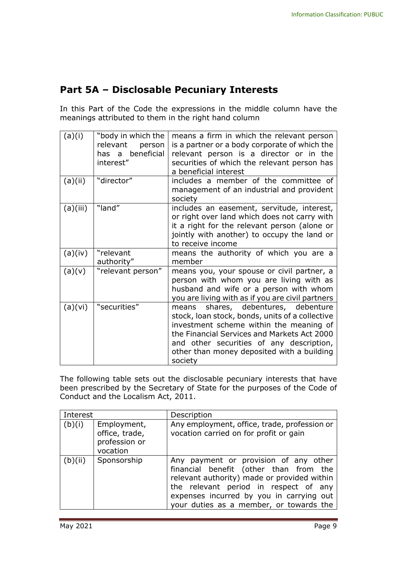# **Part 5A – Disclosable Pecuniary Interests**

In this Part of the Code the expressions in the middle column have the meanings attributed to them in the right hand column

| (a)(i)<br>(a)(ii) | "body in which the<br>relevant<br>person<br>has a beneficial<br>interest"<br>"director" | means a firm in which the relevant person<br>is a partner or a body corporate of which the<br>relevant person is a director or in the<br>securities of which the relevant person has<br>a beneficial interest<br>includes a member of the committee of                                |
|-------------------|-----------------------------------------------------------------------------------------|---------------------------------------------------------------------------------------------------------------------------------------------------------------------------------------------------------------------------------------------------------------------------------------|
|                   |                                                                                         | management of an industrial and provident<br>society                                                                                                                                                                                                                                  |
| (a)(iii)          | "land"                                                                                  | includes an easement, servitude, interest,<br>or right over land which does not carry with<br>it a right for the relevant person (alone or<br>jointly with another) to occupy the land or<br>to receive income                                                                        |
| (a)(iv)           | "relevant<br>authority"                                                                 | means the authority of which you are a<br>member                                                                                                                                                                                                                                      |
| (a)(v)            | "relevant person"                                                                       | means you, your spouse or civil partner, a<br>person with whom you are living with as<br>husband and wife or a person with whom<br>you are living with as if you are civil partners                                                                                                   |
| (a)(vi)           | "securities"                                                                            | means shares, debentures, debenture<br>stock, loan stock, bonds, units of a collective<br>investment scheme within the meaning of<br>the Financial Services and Markets Act 2000<br>and other securities of any description,<br>other than money deposited with a building<br>society |

The following table sets out the disclosable pecuniary interests that have been prescribed by the Secretary of State for the purposes of the Code of Conduct and the Localism Act, 2011.

| Interest |                                                            | Description                                                                                                                                                                                                                                                    |
|----------|------------------------------------------------------------|----------------------------------------------------------------------------------------------------------------------------------------------------------------------------------------------------------------------------------------------------------------|
| (b)(i)   | Employment,<br>office, trade,<br>profession or<br>vocation | Any employment, office, trade, profession or<br>vocation carried on for profit or gain                                                                                                                                                                         |
| (b)(ii)  | Sponsorship                                                | Any payment or provision of any other<br>financial benefit (other than from the<br>relevant authority) made or provided within<br>the relevant period in respect of any<br>expenses incurred by you in carrying out<br>your duties as a member, or towards the |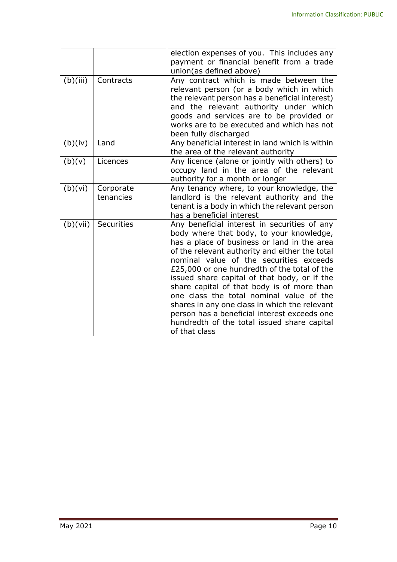|          |                        | election expenses of you. This includes any<br>payment or financial benefit from a trade<br>union(as defined above)                                                                                                                                                                                                                                                                                                                                                                                                                                                                             |
|----------|------------------------|-------------------------------------------------------------------------------------------------------------------------------------------------------------------------------------------------------------------------------------------------------------------------------------------------------------------------------------------------------------------------------------------------------------------------------------------------------------------------------------------------------------------------------------------------------------------------------------------------|
| (b)(iii) | Contracts              | Any contract which is made between the<br>relevant person (or a body which in which<br>the relevant person has a beneficial interest)<br>and the relevant authority under which<br>goods and services are to be provided or<br>works are to be executed and which has not<br>been fully discharged                                                                                                                                                                                                                                                                                              |
| (b)(iv)  | Land                   | Any beneficial interest in land which is within<br>the area of the relevant authority                                                                                                                                                                                                                                                                                                                                                                                                                                                                                                           |
| (b)(v)   | Licences               | Any licence (alone or jointly with others) to<br>occupy land in the area of the relevant<br>authority for a month or longer                                                                                                                                                                                                                                                                                                                                                                                                                                                                     |
| (b)(vi)  | Corporate<br>tenancies | Any tenancy where, to your knowledge, the<br>landlord is the relevant authority and the<br>tenant is a body in which the relevant person<br>has a beneficial interest                                                                                                                                                                                                                                                                                                                                                                                                                           |
| (b)(vii) | <b>Securities</b>      | Any beneficial interest in securities of any<br>body where that body, to your knowledge,<br>has a place of business or land in the area<br>of the relevant authority and either the total<br>nominal value of the securities exceeds<br>£25,000 or one hundredth of the total of the<br>issued share capital of that body, or if the<br>share capital of that body is of more than<br>one class the total nominal value of the<br>shares in any one class in which the relevant<br>person has a beneficial interest exceeds one<br>hundredth of the total issued share capital<br>of that class |